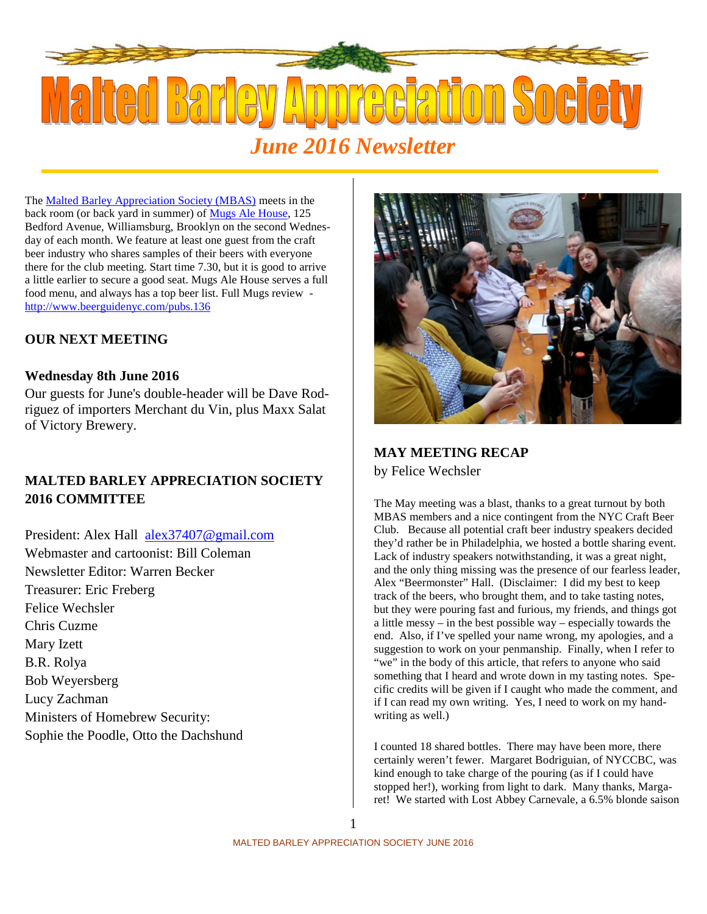

The Malted Barley Appreciation Society (MBAS) meets in the back room (or back yard in summer) of Mugs Ale House, 125 Bedford Avenue, Williamsburg, Brooklyn on the second Wednesday of each month. We feature at least one guest from the craft beer industry who shares samples of their beers with everyone there for the club meeting. Start time 7.30, but it is good to arrive a little earlier to secure a good seat. Mugs Ale House serves a full food menu, and always has a top beer list. Full Mugs review http://www.beerguidenyc.com/pubs.136

# **OUR NEXT MEETING**

### **Wednesday 8th June 2016**

Our guests for June's double-header will be Dave Rodriguez of importers Merchant du Vin, plus Maxx Salat of Victory Brewery.

# **MALTED BARLEY APPRECIATION SOCIETY 2016 COMMITTEE**

President: Alex Hall alex37407@gmail.com Webmaster and cartoonist: Bill Coleman Newsletter Editor: Warren Becker Treasurer: Eric Freberg Felice Wechsler Chris Cuzme Mary Izett B.R. Rolya Bob Weyersberg Lucy Zachman Ministers of Homebrew Security: Sophie the Poodle, Otto the Dachshund



## **MAY MEETING RECAP**

by Felice Wechsler

The May meeting was a blast, thanks to a great turnout by both MBAS members and a nice contingent from the NYC Craft Beer Club. Because all potential craft beer industry speakers decided they'd rather be in Philadelphia, we hosted a bottle sharing event. Lack of industry speakers notwithstanding, it was a great night, and the only thing missing was the presence of our fearless leader, Alex "Beermonster" Hall. (Disclaimer: I did my best to keep track of the beers, who brought them, and to take tasting notes, but they were pouring fast and furious, my friends, and things got a little messy – in the best possible way – especially towards the end. Also, if I've spelled your name wrong, my apologies, and a suggestion to work on your penmanship. Finally, when I refer to "we" in the body of this article, that refers to anyone who said something that I heard and wrote down in my tasting notes. Specific credits will be given if I caught who made the comment, and if I can read my own writing. Yes, I need to work on my handwriting as well.)

I counted 18 shared bottles. There may have been more, there certainly weren't fewer. Margaret Bodriguian, of NYCCBC, was kind enough to take charge of the pouring (as if I could have stopped her!), working from light to dark. Many thanks, Margaret! We started with Lost Abbey Carnevale, a 6.5% blonde saison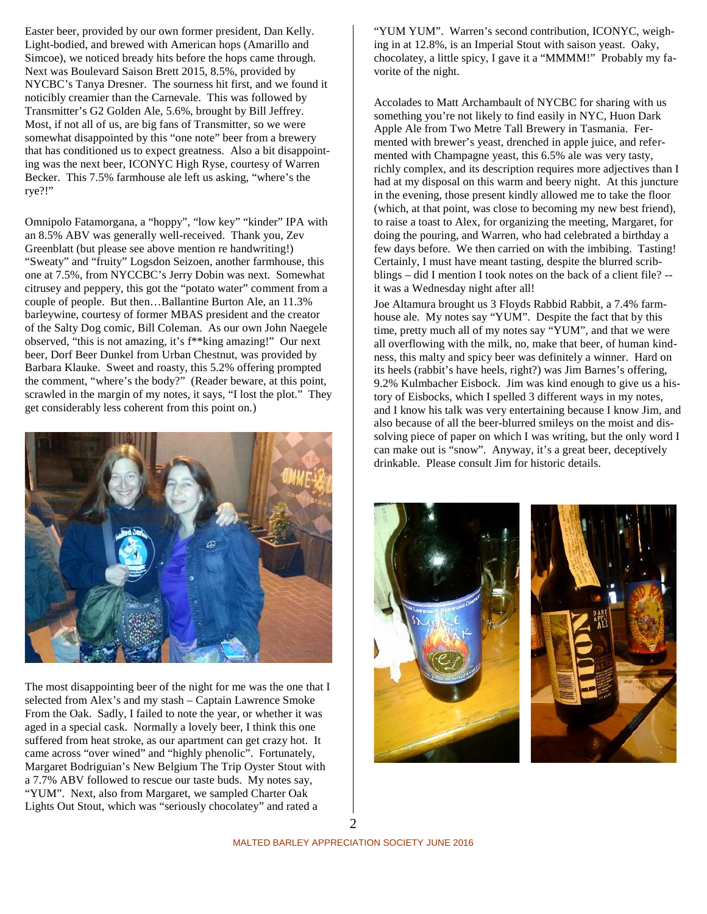Easter beer, provided by our own former president, Dan Kelly. Light-bodied, and brewed with American hops (Amarillo and Simcoe), we noticed bready hits before the hops came through. Next was Boulevard Saison Brett 2015, 8.5%, provided by NYCBC's Tanya Dresner. The sourness hit first, and we found it noticibly creamier than the Carnevale. This was followed by Transmitter's G2 Golden Ale, 5.6%, brought by Bill Jeffrey. Most, if not all of us, are big fans of Transmitter, so we were somewhat disappointed by this "one note" beer from a brewery that has conditioned us to expect greatness. Also a bit disappointing was the next beer, ICONYC High Ryse, courtesy of Warren Becker. This 7.5% farmhouse ale left us asking, "where's the rye?!"

Omnipolo Fatamorgana, a "hoppy", "low key" "kinder" IPA with an 8.5% ABV was generally well-received. Thank you, Zev Greenblatt (but please see above mention re handwriting!) "Sweaty" and "fruity" Logsdon Seizoen, another farmhouse, this one at 7.5%, from NYCCBC's Jerry Dobin was next. Somewhat citrusey and peppery, this got the "potato water" comment from a couple of people. But then…Ballantine Burton Ale, an 11.3% barleywine, courtesy of former MBAS president and the creator of the Salty Dog comic, Bill Coleman. As our own John Naegele observed, "this is not amazing, it's f\*\*king amazing!" Our next beer, Dorf Beer Dunkel from Urban Chestnut, was provided by Barbara Klauke. Sweet and roasty, this 5.2% offering prompted the comment, "where's the body?" (Reader beware, at this point, scrawled in the margin of my notes, it says, "I lost the plot." They get considerably less coherent from this point on.)



The most disappointing beer of the night for me was the one that I selected from Alex's and my stash – Captain Lawrence Smoke From the Oak. Sadly, I failed to note the year, or whether it was aged in a special cask. Normally a lovely beer, I think this one suffered from heat stroke, as our apartment can get crazy hot. It came across "over wined" and "highly phenolic". Fortunately, Margaret Bodriguian's New Belgium The Trip Oyster Stout with a 7.7% ABV followed to rescue our taste buds. My notes say, "YUM". Next, also from Margaret, we sampled Charter Oak Lights Out Stout, which was "seriously chocolatey" and rated a

"YUM YUM". Warren's second contribution, ICONYC, weighing in at 12.8%, is an Imperial Stout with saison yeast. Oaky, chocolatey, a little spicy, I gave it a "MMMM!" Probably my favorite of the night.

Accolades to Matt Archambault of NYCBC for sharing with us something you're not likely to find easily in NYC, Huon Dark Apple Ale from Two Metre Tall Brewery in Tasmania. Fermented with brewer's yeast, drenched in apple juice, and refermented with Champagne yeast, this 6.5% ale was very tasty, richly complex, and its description requires more adjectives than I had at my disposal on this warm and beery night. At this juncture in the evening, those present kindly allowed me to take the floor (which, at that point, was close to becoming my new best friend), to raise a toast to Alex, for organizing the meeting, Margaret, for doing the pouring, and Warren, who had celebrated a birthday a few days before. We then carried on with the imbibing. Tasting! Certainly, I must have meant tasting, despite the blurred scribblings – did I mention I took notes on the back of a client file? - it was a Wednesday night after all!

Joe Altamura brought us 3 Floyds Rabbid Rabbit, a 7.4% farmhouse ale. My notes say "YUM". Despite the fact that by this time, pretty much all of my notes say "YUM", and that we were all overflowing with the milk, no, make that beer, of human kindness, this malty and spicy beer was definitely a winner. Hard on its heels (rabbit's have heels, right?) was Jim Barnes's offering, 9.2% Kulmbacher Eisbock. Jim was kind enough to give us a history of Eisbocks, which I spelled 3 different ways in my notes, and I know his talk was very entertaining because I know Jim, and also because of all the beer-blurred smileys on the moist and dissolving piece of paper on which I was writing, but the only word I can make out is "snow". Anyway, it's a great beer, deceptively drinkable. Please consult Jim for historic details.



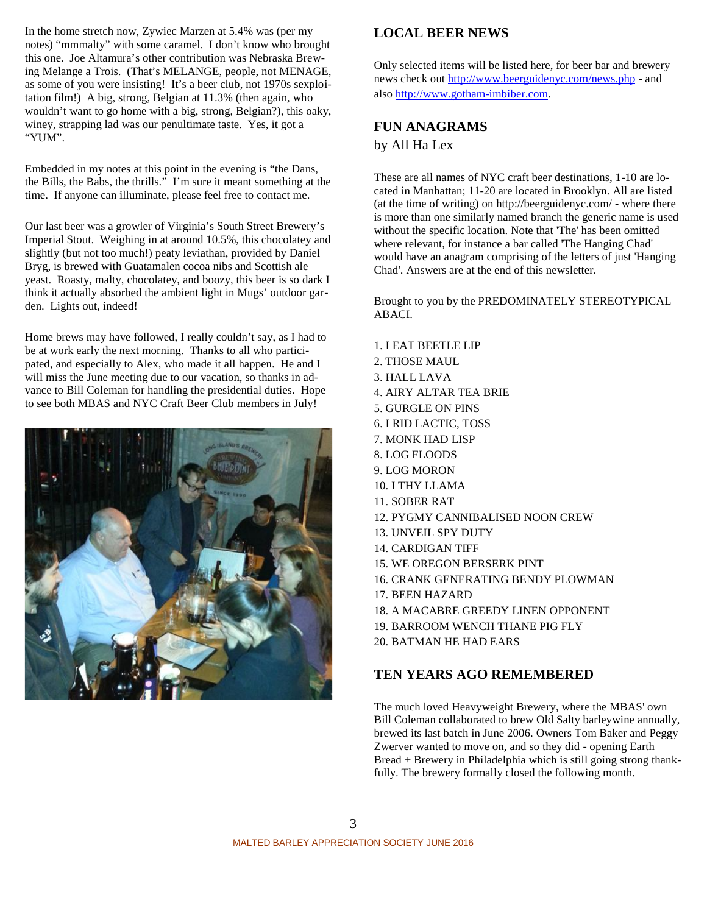In the home stretch now, Zywiec Marzen at 5.4% was (per my notes) "mmmalty" with some caramel. I don't know who brought this one. Joe Altamura's other contribution was Nebraska Brewing Melange a Trois. (That's MELANGE, people, not MENAGE, as some of you were insisting! It's a beer club, not 1970s sexploitation film!) A big, strong, Belgian at 11.3% (then again, who wouldn't want to go home with a big, strong, Belgian?), this oaky, winey, strapping lad was our penultimate taste. Yes, it got a "YUM".

Embedded in my notes at this point in the evening is "the Dans, the Bills, the Babs, the thrills." I'm sure it meant something at the time. If anyone can illuminate, please feel free to contact me.

Our last beer was a growler of Virginia's South Street Brewery's Imperial Stout. Weighing in at around 10.5%, this chocolatey and slightly (but not too much!) peaty leviathan, provided by Daniel Bryg, is brewed with Guatamalen cocoa nibs and Scottish ale yeast. Roasty, malty, chocolatey, and boozy, this beer is so dark I think it actually absorbed the ambient light in Mugs' outdoor garden. Lights out, indeed!

Home brews may have followed, I really couldn't say, as I had to be at work early the next morning. Thanks to all who participated, and especially to Alex, who made it all happen. He and I will miss the June meeting due to our vacation, so thanks in advance to Bill Coleman for handling the presidential duties. Hope to see both MBAS and NYC Craft Beer Club members in July!



### **LOCAL BEER NEWS**

Only selected items will be listed here, for beer bar and brewery news check out http://www.beerguidenyc.com/news.php - and also http://www.gotham-imbiber.com.

# **FUN ANAGRAMS** by All Ha Lex

These are all names of NYC craft beer destinations, 1-10 are located in Manhattan; 11-20 are located in Brooklyn. All are listed (at the time of writing) on http://beerguidenyc.com/ - where there is more than one similarly named branch the generic name is used without the specific location. Note that 'The' has been omitted where relevant, for instance a bar called 'The Hanging Chad' would have an anagram comprising of the letters of just 'Hanging Chad'. Answers are at the end of this newsletter.

Brought to you by the PREDOMINATELY STEREOTYPICAL ABACI.

1. I EAT BEETLE LIP 2. THOSE MAUL 3. HALL LAVA 4. AIRY ALTAR TEA BRIE 5. GURGLE ON PINS 6. I RID LACTIC, TOSS 7. MONK HAD LISP 8. LOG FLOODS 9. LOG MORON 10. I THY LLAMA 11. SOBER RAT 12. PYGMY CANNIBALISED NOON CREW 13. UNVEIL SPY DUTY 14. CARDIGAN TIFF 15. WE OREGON BERSERK PINT 16. CRANK GENERATING BENDY PLOWMAN 17. BEEN HAZARD 18. A MACABRE GREEDY LINEN OPPONENT 19. BARROOM WENCH THANE PIG FLY 20. BATMAN HE HAD EARS

### **TEN YEARS AGO REMEMBERED**

The much loved Heavyweight Brewery, where the MBAS' own Bill Coleman collaborated to brew Old Salty barleywine annually, brewed its last batch in June 2006. Owners Tom Baker and Peggy Zwerver wanted to move on, and so they did - opening Earth Bread + Brewery in Philadelphia which is still going strong thankfully. The brewery formally closed the following month.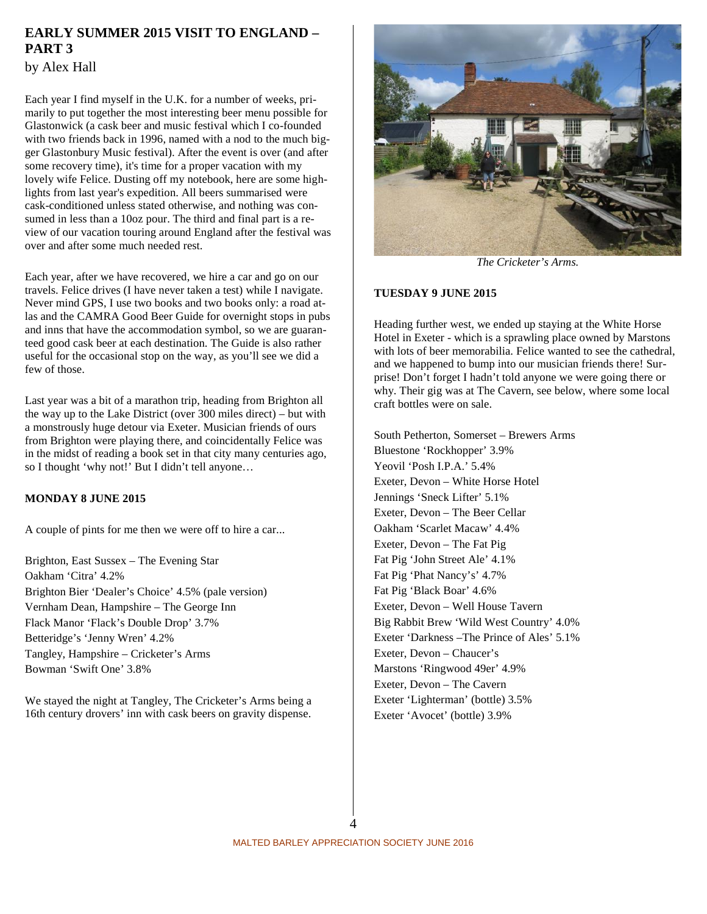### **EARLY SUMMER 2015 VISIT TO ENGLAND – PART 3**

by Alex Hall

Each year I find myself in the U.K. for a number of weeks, primarily to put together the most interesting beer menu possible for Glastonwick (a cask beer and music festival which I co-founded with two friends back in 1996, named with a nod to the much bigger Glastonbury Music festival). After the event is over (and after some recovery time), it's time for a proper vacation with my lovely wife Felice. Dusting off my notebook, here are some highlights from last year's expedition. All beers summarised were cask-conditioned unless stated otherwise, and nothing was consumed in less than a 10oz pour. The third and final part is a review of our vacation touring around England after the festival was over and after some much needed rest.

Each year, after we have recovered, we hire a car and go on our travels. Felice drives (I have never taken a test) while I navigate. Never mind GPS, I use two books and two books only: a road atlas and the CAMRA Good Beer Guide for overnight stops in pubs and inns that have the accommodation symbol, so we are guaranteed good cask beer at each destination. The Guide is also rather useful for the occasional stop on the way, as you'll see we did a few of those.

Last year was a bit of a marathon trip, heading from Brighton all the way up to the Lake District (over 300 miles direct) – but with a monstrously huge detour via Exeter. Musician friends of ours from Brighton were playing there, and coincidentally Felice was in the midst of reading a book set in that city many centuries ago, so I thought 'why not!' But I didn't tell anyone…

### **MONDAY 8 JUNE 2015**

A couple of pints for me then we were off to hire a car...

Brighton, East Sussex – The Evening Star Oakham 'Citra' 4.2% Brighton Bier 'Dealer's Choice' 4.5% (pale version) Vernham Dean, Hampshire – The George Inn Flack Manor 'Flack's Double Drop' 3.7% Betteridge's 'Jenny Wren' 4.2% Tangley, Hampshire – Cricketer's Arms Bowman 'Swift One' 3.8%

We stayed the night at Tangley, The Cricketer's Arms being a 16th century drovers' inn with cask beers on gravity dispense.



*The Cricketer's Arms.*

#### **TUESDAY 9 JUNE 2015**

Heading further west, we ended up staying at the White Horse Hotel in Exeter - which is a sprawling place owned by Marstons with lots of beer memorabilia. Felice wanted to see the cathedral, and we happened to bump into our musician friends there! Surprise! Don't forget I hadn't told anyone we were going there or why. Their gig was at The Cavern, see below, where some local craft bottles were on sale.

South Petherton, Somerset – Brewers Arms Bluestone 'Rockhopper' 3.9% Yeovil 'Posh I.P.A.' 5.4% Exeter, Devon – White Horse Hotel Jennings 'Sneck Lifter' 5.1% Exeter, Devon – The Beer Cellar Oakham 'Scarlet Macaw' 4.4% Exeter, Devon – The Fat Pig Fat Pig 'John Street Ale' 4.1% Fat Pig 'Phat Nancy's' 4.7% Fat Pig 'Black Boar' 4.6% Exeter, Devon – Well House Tavern Big Rabbit Brew 'Wild West Country' 4.0% Exeter 'Darkness –The Prince of Ales' 5.1% Exeter, Devon – Chaucer's Marstons 'Ringwood 49er' 4.9% Exeter, Devon – The Cavern Exeter 'Lighterman' (bottle) 3.5% Exeter 'Avocet' (bottle) 3.9%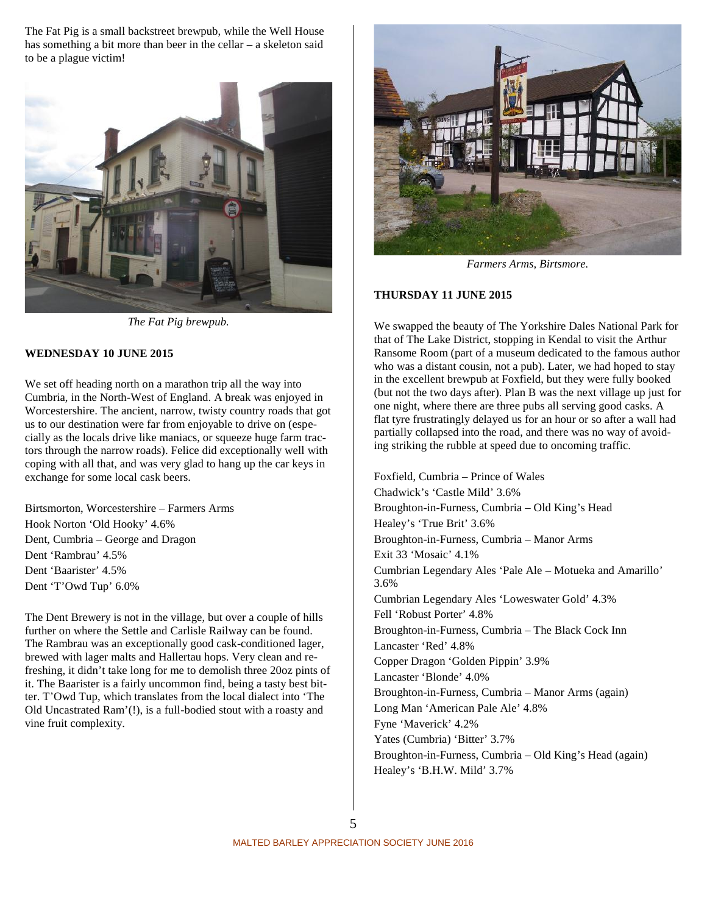The Fat Pig is a small backstreet brewpub, while the Well House has something a bit more than beer in the cellar – a skeleton said to be a plague victim!



*The Fat Pig brewpub.*

#### **WEDNESDAY 10 JUNE 2015**

We set off heading north on a marathon trip all the way into Cumbria, in the North-West of England. A break was enjoyed in Worcestershire. The ancient, narrow, twisty country roads that got us to our destination were far from enjoyable to drive on (especially as the locals drive like maniacs, or squeeze huge farm tractors through the narrow roads). Felice did exceptionally well with coping with all that, and was very glad to hang up the car keys in exchange for some local cask beers.

Birtsmorton, Worcestershire – Farmers Arms Hook Norton 'Old Hooky' 4.6% Dent, Cumbria – George and Dragon Dent 'Rambrau' 4.5% Dent 'Baarister' 4.5% Dent 'T'Owd Tup' 6.0%

The Dent Brewery is not in the village, but over a couple of hills further on where the Settle and Carlisle Railway can be found. The Rambrau was an exceptionally good cask-conditioned lager, brewed with lager malts and Hallertau hops. Very clean and refreshing, it didn't take long for me to demolish three 20oz pints of it. The Baarister is a fairly uncommon find, being a tasty best bitter. T'Owd Tup, which translates from the local dialect into 'The Old Uncastrated Ram'(!), is a full-bodied stout with a roasty and vine fruit complexity.



*Farmers Arms, Birtsmore.*

#### **THURSDAY 11 JUNE 2015**

We swapped the beauty of The Yorkshire Dales National Park for that of The Lake District, stopping in Kendal to visit the Arthur Ransome Room (part of a museum dedicated to the famous author who was a distant cousin, not a pub). Later, we had hoped to stay in the excellent brewpub at Foxfield, but they were fully booked (but not the two days after). Plan B was the next village up just for one night, where there are three pubs all serving good casks. A flat tyre frustratingly delayed us for an hour or so after a wall had partially collapsed into the road, and there was no way of avoiding striking the rubble at speed due to oncoming traffic.

Foxfield, Cumbria – Prince of Wales Chadwick's 'Castle Mild' 3.6% Broughton-in-Furness, Cumbria – Old King's Head Healey's 'True Brit' 3.6% Broughton-in-Furness, Cumbria – Manor Arms Exit 33 'Mosaic' 4.1% Cumbrian Legendary Ales 'Pale Ale – Motueka and Amarillo' 3.6% Cumbrian Legendary Ales 'Loweswater Gold' 4.3% Fell 'Robust Porter' 4.8% Broughton-in-Furness, Cumbria – The Black Cock Inn Lancaster 'Red' 4.8% Copper Dragon 'Golden Pippin' 3.9% Lancaster 'Blonde' 4.0% Broughton-in-Furness, Cumbria – Manor Arms (again) Long Man 'American Pale Ale' 4.8% Fyne 'Maverick' 4.2% Yates (Cumbria) 'Bitter' 3.7% Broughton-in-Furness, Cumbria – Old King's Head (again) Healey's 'B.H.W. Mild' 3.7%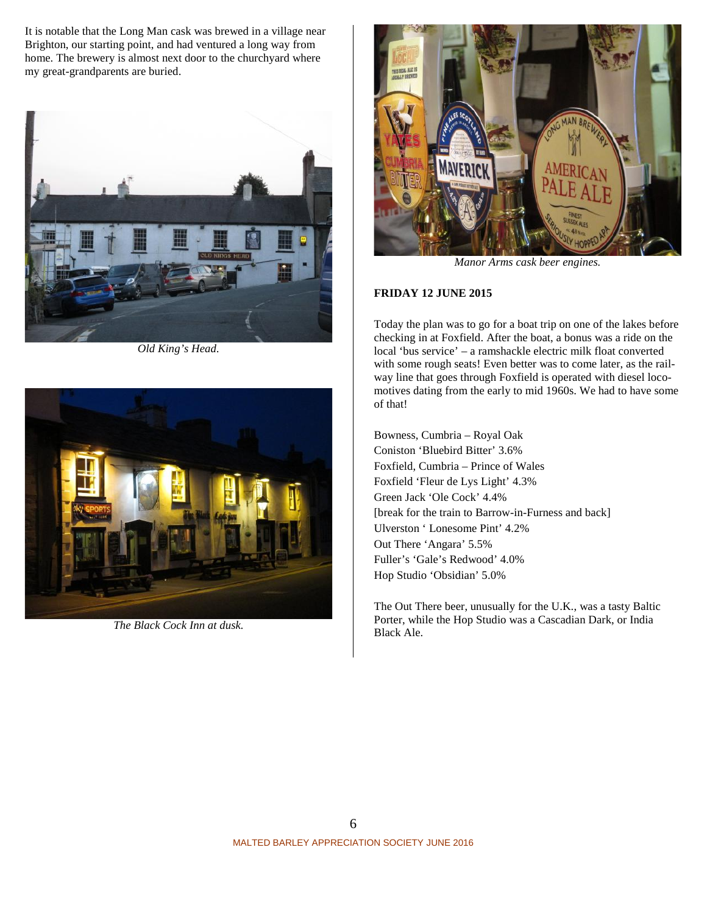It is notable that the Long Man cask was brewed in a village near Brighton, our starting point, and had ventured a long way from home. The brewery is almost next door to the churchyard where my great-grandparents are buried.



*Old King's Head.*



*The Black Cock Inn at dusk.*



*Manor Arms cask beer engines.*

#### **FRIDAY 12 JUNE 2015**

Today the plan was to go for a boat trip on one of the lakes before checking in at Foxfield. After the boat, a bonus was a ride on the local 'bus service' – a ramshackle electric milk float converted with some rough seats! Even better was to come later, as the railway line that goes through Foxfield is operated with diesel locomotives dating from the early to mid 1960s. We had to have some of that!

Bowness, Cumbria – Royal Oak Coniston 'Bluebird Bitter' 3.6% Foxfield, Cumbria – Prince of Wales Foxfield 'Fleur de Lys Light' 4.3% Green Jack 'Ole Cock' 4.4% [break for the train to Barrow-in-Furness and back] Ulverston ' Lonesome Pint' 4.2% Out There 'Angara' 5.5% Fuller's 'Gale's Redwood' 4.0% Hop Studio 'Obsidian' 5.0%

The Out There beer, unusually for the U.K., was a tasty Baltic Porter, while the Hop Studio was a Cascadian Dark, or India Black Ale.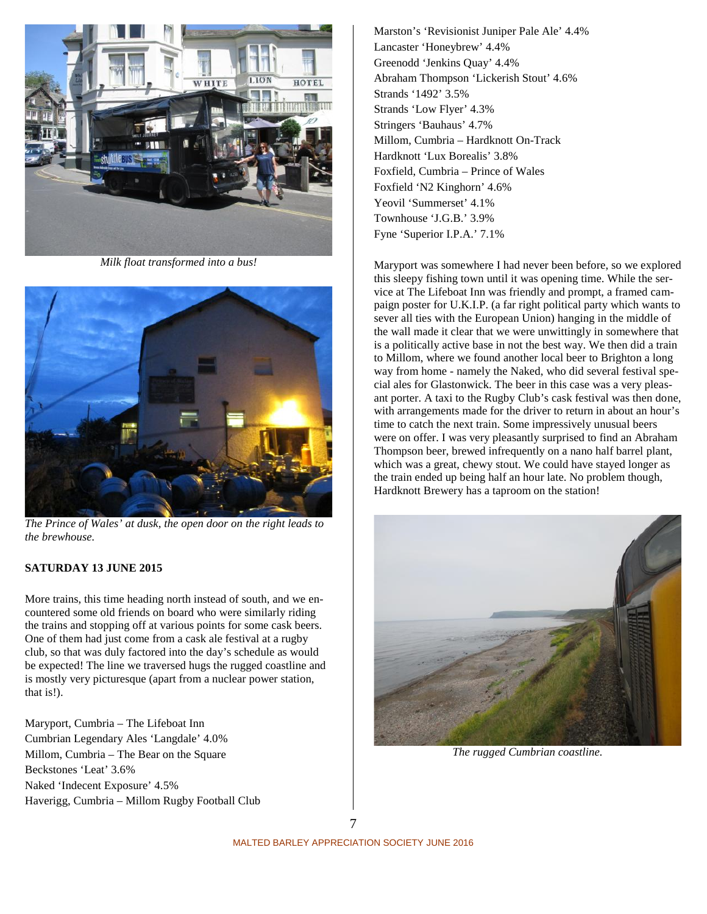

*Milk float transformed into a bus!*



*The Prince of Wales' at dusk, the open door on the right leads to the brewhouse.*

#### **SATURDAY 13 JUNE 2015**

More trains, this time heading north instead of south, and we encountered some old friends on board who were similarly riding the trains and stopping off at various points for some cask beers. One of them had just come from a cask ale festival at a rugby club, so that was duly factored into the day's schedule as would be expected! The line we traversed hugs the rugged coastline and is mostly very picturesque (apart from a nuclear power station, that is!).

Maryport, Cumbria – The Lifeboat Inn Cumbrian Legendary Ales 'Langdale' 4.0% Millom, Cumbria – The Bear on the Square Beckstones 'Leat' 3.6% Naked 'Indecent Exposure' 4.5% Haverigg, Cumbria – Millom Rugby Football Club

Marston's 'Revisionist Juniper Pale Ale' 4.4% Lancaster 'Honeybrew' 4.4% Greenodd 'Jenkins Quay' 4.4% Abraham Thompson 'Lickerish Stout' 4.6% Strands '1492' 3.5% Strands 'Low Flyer' 4.3% Stringers 'Bauhaus' 4.7% Millom, Cumbria – Hardknott On-Track Hardknott 'Lux Borealis' 3.8% Foxfield, Cumbria – Prince of Wales Foxfield 'N2 Kinghorn' 4.6% Yeovil 'Summerset' 4.1% Townhouse 'J.G.B.' 3.9% Fyne 'Superior I.P.A.' 7.1%

Maryport was somewhere I had never been before, so we explored this sleepy fishing town until it was opening time. While the service at The Lifeboat Inn was friendly and prompt, a framed campaign poster for U.K.I.P. (a far right political party which wants to sever all ties with the European Union) hanging in the middle of the wall made it clear that we were unwittingly in somewhere that is a politically active base in not the best way. We then did a train to Millom, where we found another local beer to Brighton a long way from home - namely the Naked, who did several festival special ales for Glastonwick. The beer in this case was a very pleasant porter. A taxi to the Rugby Club's cask festival was then done, with arrangements made for the driver to return in about an hour's time to catch the next train. Some impressively unusual beers were on offer. I was very pleasantly surprised to find an Abraham Thompson beer, brewed infrequently on a nano half barrel plant, which was a great, chewy stout. We could have stayed longer as the train ended up being half an hour late. No problem though, Hardknott Brewery has a taproom on the station!



*The rugged Cumbrian coastline.*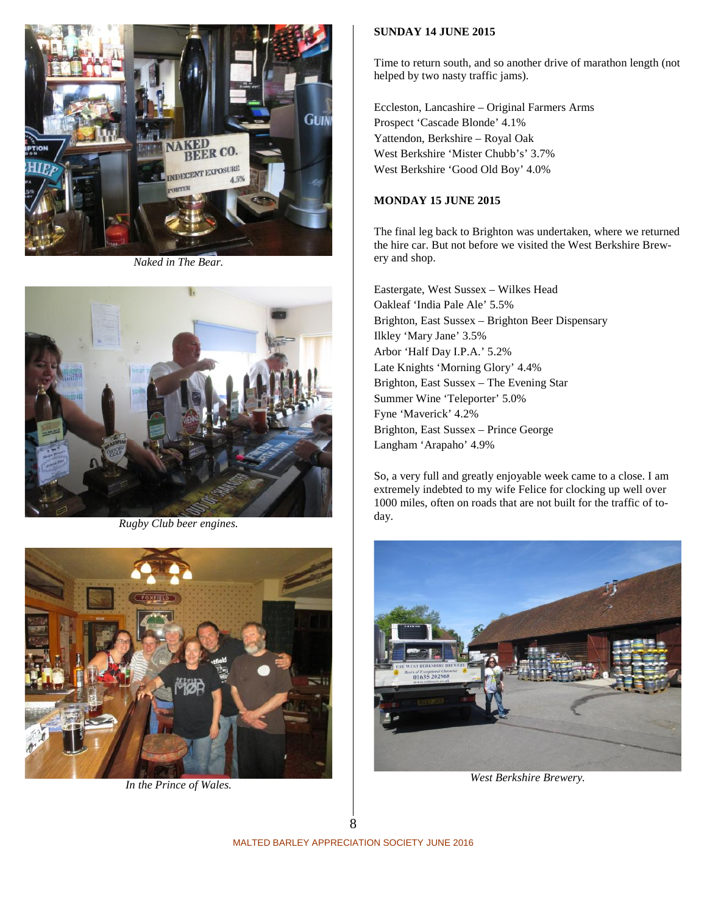

*Naked in The Bear.*



*Rugby Club beer engines.*



*In the Prince of Wales.*

#### **SUNDAY 14 JUNE 2015**

Time to return south, and so another drive of marathon length (not helped by two nasty traffic jams).

Eccleston, Lancashire – Original Farmers Arms Prospect 'Cascade Blonde' 4.1% Yattendon, Berkshire – Royal Oak West Berkshire 'Mister Chubb's' 3.7% West Berkshire 'Good Old Boy' 4.0%

#### **MONDAY 15 JUNE 2015**

The final leg back to Brighton was undertaken, where we returned the hire car. But not before we visited the West Berkshire Brewery and shop.

Eastergate, West Sussex – Wilkes Head Oakleaf 'India Pale Ale' 5.5% Brighton, East Sussex – Brighton Beer Dispensary Ilkley 'Mary Jane' 3.5% Arbor 'Half Day I.P.A.' 5.2% Late Knights 'Morning Glory' 4.4% Brighton, East Sussex – The Evening Star Summer Wine 'Teleporter' 5.0% Fyne 'Maverick' 4.2% Brighton, East Sussex – Prince George Langham 'Arapaho' 4.9%

So, a very full and greatly enjoyable week came to a close. I am extremely indebted to my wife Felice for clocking up well over 1000 miles, often on roads that are not built for the traffic of today.



*West Berkshire Brewery.*